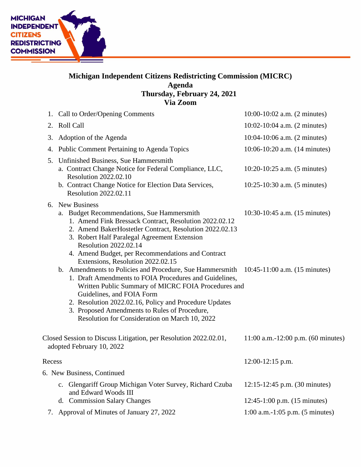

## **Michigan Independent Citizens Redistricting Commission (MICRC) Agenda Thursday, February 24, 2021 Via Zoom**

|        | 1. Call to Order/Opening Comments                                                                                                                                                                                                                                                                                                                                   | 10:00-10:02 a.m. (2 minutes)                                 |
|--------|---------------------------------------------------------------------------------------------------------------------------------------------------------------------------------------------------------------------------------------------------------------------------------------------------------------------------------------------------------------------|--------------------------------------------------------------|
|        | 2. Roll Call                                                                                                                                                                                                                                                                                                                                                        | 10:02-10:04 a.m. (2 minutes)                                 |
| 3.     | Adoption of the Agenda                                                                                                                                                                                                                                                                                                                                              | 10:04-10:06 a.m. (2 minutes)                                 |
|        | 4. Public Comment Pertaining to Agenda Topics                                                                                                                                                                                                                                                                                                                       | 10:06-10:20 a.m. (14 minutes)                                |
|        | 5. Unfinished Business, Sue Hammersmith<br>a. Contract Change Notice for Federal Compliance, LLC,<br><b>Resolution 2022.02.10</b><br>b. Contract Change Notice for Election Data Services,<br>Resolution 2022.02.11                                                                                                                                                 | 10:20-10:25 a.m. (5 minutes)<br>10:25-10:30 a.m. (5 minutes) |
|        | 6. New Business<br>a. Budget Recommendations, Sue Hammersmith<br>1. Amend Fink Bressack Contract, Resolution 2022.02.12<br>2. Amend BakerHostetler Contract, Resolution 2022.02.13<br>3. Robert Half Paralegal Agreement Extension<br><b>Resolution 2022.02.14</b><br>4. Amend Budget, per Recommendations and Contract<br>Extensions, Resolution 2022.02.15        | 10:30-10:45 a.m. (15 minutes)                                |
|        | b. Amendments to Policies and Procedure, Sue Hammersmith<br>1. Draft Amendments to FOIA Procedures and Guidelines,<br>Written Public Summary of MICRC FOIA Procedures and<br>Guidelines, and FOIA Form<br>2. Resolution 2022.02.16, Policy and Procedure Updates<br>3. Proposed Amendments to Rules of Procedure,<br>Resolution for Consideration on March 10, 2022 | $10:45-11:00$ a.m. $(15$ minutes)                            |
|        | Closed Session to Discuss Litigation, per Resolution 2022.02.01,<br>adopted February 10, 2022                                                                                                                                                                                                                                                                       | 11:00 a.m.-12:00 p.m. $(60 \text{ minutes})$                 |
| Recess |                                                                                                                                                                                                                                                                                                                                                                     | $12:00-12:15$ p.m.                                           |
|        | 6. New Business, Continued                                                                                                                                                                                                                                                                                                                                          |                                                              |
|        | c. Glengariff Group Michigan Voter Survey, Richard Czuba<br>and Edward Woods III                                                                                                                                                                                                                                                                                    | 12:15-12:45 p.m. (30 minutes)                                |
|        | d. Commission Salary Changes                                                                                                                                                                                                                                                                                                                                        | 12:45-1:00 p.m. (15 minutes)                                 |
|        | 7. Approval of Minutes of January 27, 2022                                                                                                                                                                                                                                                                                                                          | $1:00$ a.m.-1:05 p.m. (5 minutes)                            |